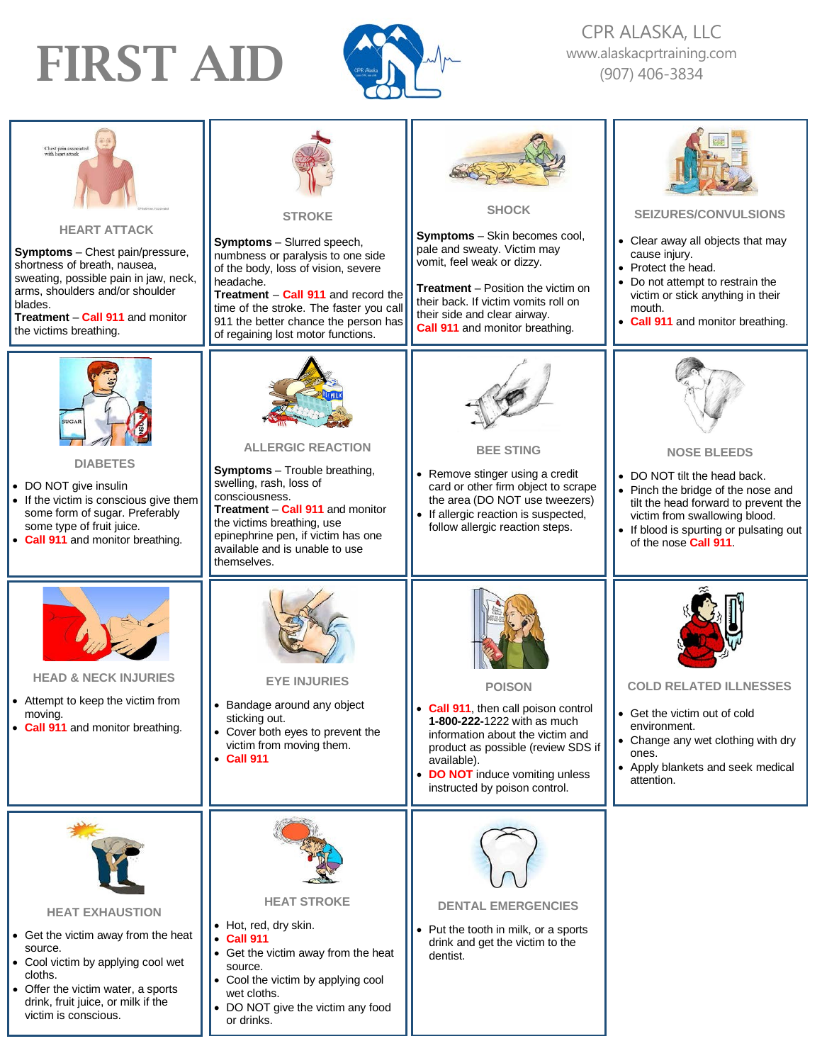## FIRST AID



CPR ALASKA, LLC [www.alaskacprtraining.com](http://www.alaskacprtraining.com/) (907) 406-3834

| Chest pain associated<br>vith heart attack<br><b>HEART ATTACK</b><br><b>Symptoms</b> – Chest pain/pressure,<br>shortness of breath, nausea,<br>sweating, possible pain in jaw, neck,<br>arms, shoulders and/or shoulder<br>blades.<br>Treatment - Call 911 and monitor<br>the victims breathing. | <b>STROKE</b><br><b>Symptoms</b> - Slurred speech,<br>numbness or paralysis to one side<br>of the body, loss of vision, severe<br>headache.<br>Treatment - Call 911 and record the<br>time of the stroke. The faster you call<br>911 the better chance the person has<br>of regaining lost motor functions. | <b>SHOCK</b><br><b>Symptoms</b> - Skin becomes cool,<br>pale and sweaty. Victim may<br>vomit, feel weak or dizzy.<br><b>Treatment</b> – Position the victim on<br>their back. If victim vomits roll on<br>their side and clear airway.<br><b>Call 911</b> and monitor breathing. | <b>SEIZURES/CONVULSIONS</b><br>• Clear away all objects that may<br>cause injury.<br>• Protect the head.<br>Do not attempt to restrain the<br>victim or stick anything in their<br>mouth.<br>• Call 911 and monitor breathing.        |
|--------------------------------------------------------------------------------------------------------------------------------------------------------------------------------------------------------------------------------------------------------------------------------------------------|-------------------------------------------------------------------------------------------------------------------------------------------------------------------------------------------------------------------------------------------------------------------------------------------------------------|----------------------------------------------------------------------------------------------------------------------------------------------------------------------------------------------------------------------------------------------------------------------------------|---------------------------------------------------------------------------------------------------------------------------------------------------------------------------------------------------------------------------------------|
| <b>DIABETES</b><br>• DO NOT give insulin<br>• If the victim is conscious give them<br>some form of sugar. Preferably<br>some type of fruit juice.<br>• Call 911 and monitor breathing.                                                                                                           | <b>ALLERGIC REACTION</b><br><b>Symptoms</b> - Trouble breathing,<br>swelling, rash, loss of<br>consciousness.<br>Treatment - Call 911 and monitor<br>the victims breathing, use<br>epinephrine pen, if victim has one<br>available and is unable to use<br>themselves.                                      | <b>BEE STING</b><br>• Remove stinger using a credit<br>card or other firm object to scrape<br>the area (DO NOT use tweezers)<br>• If allergic reaction is suspected,<br>follow allergic reaction steps.                                                                          | <b>NOSE BLEEDS</b><br>• DO NOT tilt the head back.<br>• Pinch the bridge of the nose and<br>tilt the head forward to prevent the<br>victim from swallowing blood.<br>• If blood is spurting or pulsating out<br>of the nose Call 911. |
| <b>HEAD &amp; NECK INJURIES</b><br>• Attempt to keep the victim from<br>moving.<br>• Call 911 and monitor breathing.                                                                                                                                                                             | <b>EYE INJURIES</b><br>Bandage around any object<br>sticking out.<br>• Cover both eyes to prevent the<br>victim from moving them.<br>• Call 911                                                                                                                                                             | <b>POISON</b><br>• Call 911, then call poison control<br>1-800-222-1222 with as much<br>information about the victim and<br>product as possible (review SDS if<br>available).<br>• DO NOT induce vomiting unless<br>instructed by poison control.                                | <b>COLD RELATED ILLNESSES</b><br>Get the victim out of cold<br>environment.<br>• Change any wet clothing with dry<br>ones.<br>Apply blankets and seek medical<br>attention.                                                           |
| <b>HEAT EXHAUSTION</b><br>• Get the victim away from the heat<br>source.<br>• Cool victim by applying cool wet<br>cloths.<br>• Offer the victim water, a sports<br>drink, fruit juice, or milk if the<br>victim is conscious.                                                                    | <b>HEAT STROKE</b><br>• Hot, red, dry skin.<br><b>Call 911</b><br>$\bullet$<br>• Get the victim away from the heat<br>source.<br>• Cool the victim by applying cool<br>wet cloths.<br>• DO NOT give the victim any food<br>or drinks.                                                                       | <b>DENTAL EMERGENCIES</b><br>• Put the tooth in milk, or a sports<br>drink and get the victim to the<br>dentist.                                                                                                                                                                 |                                                                                                                                                                                                                                       |